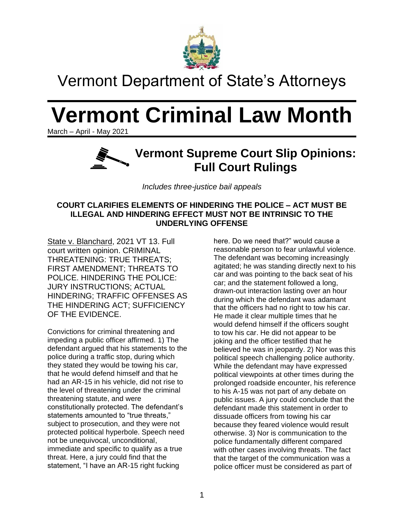

## Vermont Department of State's Attorneys

# **Vermont Criminal Law Month**

March – April - May 2021



*Includes three-justice bail appeals*

#### **COURT CLARIFIES ELEMENTS OF HINDERING THE POLICE – ACT MUST BE ILLEGAL AND HINDERING EFFECT MUST NOT BE INTRINSIC TO THE UNDERLYING OFFENSE**

State v. Blanchard, 2021 VT 13. Full court written opinion. CRIMINAL THREATENING: TRUE THREATS; FIRST AMENDMENT; THREATS TO POLICE. HINDERING THE POLICE: JURY INSTRUCTIONS; ACTUAL HINDERING; TRAFFIC OFFENSES AS THE HINDERING ACT; SUFFICIENCY OF THE EVIDENCE.

Convictions for criminal threatening and impeding a public officer affirmed. 1) The defendant argued that his statements to the police during a traffic stop, during which they stated they would be towing his car, that he would defend himself and that he had an AR-15 in his vehicle, did not rise to the level of threatening under the criminal threatening statute, and were constitutionally protected. The defendant's statements amounted to "true threats," subject to prosecution, and they were not protected political hyperbole. Speech need not be unequivocal, unconditional, immediate and specific to qualify as a true threat. Here, a jury could find that the statement, "I have an AR-15 right fucking

here. Do we need that?" would cause a reasonable person to fear unlawful violence. The defendant was becoming increasingly agitated; he was standing directly next to his car and was pointing to the back seat of his car; and the statement followed a long, drawn-out interaction lasting over an hour during which the defendant was adamant that the officers had no right to tow his car. He made it clear multiple times that he would defend himself if the officers sought to tow his car. He did not appear to be joking and the officer testified that he believed he was in jeopardy. 2) Nor was this political speech challenging police authority. While the defendant may have expressed political viewpoints at other times during the prolonged roadside encounter, his reference to his A-15 was not part of any debate on public issues. A jury could conclude that the defendant made this statement in order to dissuade officers from towing his car because they feared violence would result otherwise. 3) Nor is communication to the police fundamentally different compared with other cases involving threats. The fact that the target of the communication was a police officer must be considered as part of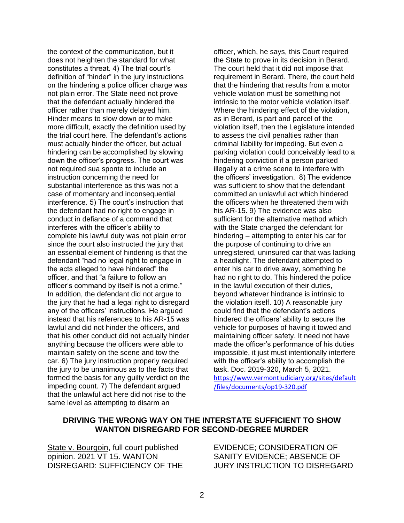the context of the communication, but it does not heighten the standard for what constitutes a threat. 4) The trial court's definition of "hinder" in the jury instructions on the hindering a police officer charge was not plain error. The State need not prove that the defendant actually hindered the officer rather than merely delayed him. Hinder means to slow down or to make more difficult, exactly the definition used by the trial court here. The defendant's actions must actually hinder the officer, but actual hindering can be accomplished by slowing down the officer's progress. The court was not required sua sponte to include an instruction concerning the need for substantial interference as this was not a case of momentary and inconsequential interference. 5) The court's instruction that the defendant had no right to engage in conduct in defiance of a command that interferes with the officer's ability to complete his lawful duty was not plain error since the court also instructed the jury that an essential element of hindering is that the defendant "had no legal right to engage in the acts alleged to have hindered" the officer, and that "a failure to follow an officer's command by itself is not a crime." In addition, the defendant did not argue to the jury that he had a legal right to disregard any of the officers' instructions. He argued instead that his references to his AR-15 was lawful and did not hinder the officers, and that his other conduct did not actually hinder anything because the officers were able to maintain safety on the scene and tow the car. 6) The jury instruction properly required the jury to be unanimous as to the facts that formed the basis for any guilty verdict on the impeding count. 7) The defendant argued that the unlawful act here did not rise to the same level as attempting to disarm an

officer, which, he says, this Court required the State to prove in its decision in Berard. The court held that it did not impose that requirement in Berard. There, the court held that the hindering that results from a motor vehicle violation must be something not intrinsic to the motor vehicle violation itself. Where the hindering effect of the violation, as in Berard, is part and parcel of the violation itself, then the Legislature intended to assess the civil penalties rather than criminal liability for impeding. But even a parking violation could conceivably lead to a hindering conviction if a person parked illegally at a crime scene to interfere with the officers' investigation. 8) The evidence was sufficient to show that the defendant committed an unlawful act which hindered the officers when he threatened them with his AR-15. 9) The evidence was also sufficient for the alternative method which with the State charged the defendant for hindering – attempting to enter his car for the purpose of continuing to drive an unregistered, uninsured car that was lacking a headlight. The defendant attempted to enter his car to drive away, something he had no right to do. This hindered the police in the lawful execution of their duties, beyond whatever hindrance is intrinsic to the violation itself. 10) A reasonable jury could find that the defendant's actions hindered the officers' ability to secure the vehicle for purposes of having it towed and maintaining officer safety. It need not have made the officer's performance of his duties impossible, it just must intentionally interfere with the officer's ability to accomplish the task. Doc. 2019-320, March 5, 2021. [https://www.vermontjudiciary.org/sites/default](https://www.vermontjudiciary.org/sites/default/files/documents/op19-320.pdf) [/files/documents/op19-320.pdf](https://www.vermontjudiciary.org/sites/default/files/documents/op19-320.pdf)

#### **DRIVING THE WRONG WAY ON THE INTERSTATE SUFFICIENT TO SHOW WANTON DISREGARD FOR SECOND-DEGREE MURDER**

State v. Bourgoin, full court published opinion. 2021 VT 15. WANTON DISREGARD: SUFFICIENCY OF THE EVIDENCE; CONSIDERATION OF SANITY EVIDENCE; ABSENCE OF JURY INSTRUCTION TO DISREGARD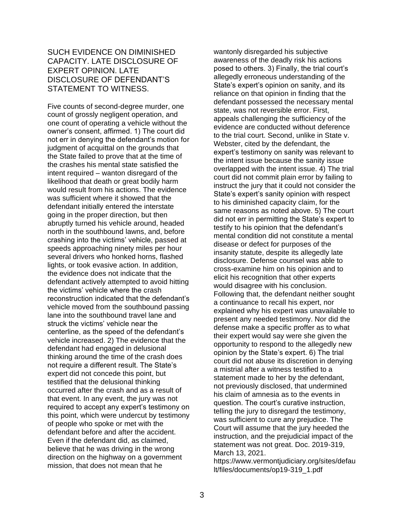#### SUCH EVIDENCE ON DIMINISHED CAPACITY. LATE DISCLOSURE OF EXPERT OPINION. LATE DISCLOSURE OF DEFENDANT'S STATEMENT TO WITNESS.

Five counts of second-degree murder, one count of grossly negligent operation, and one count of operating a vehicle without the owner's consent, affirmed. 1) The court did not err in denying the defendant's motion for judgment of acquittal on the grounds that the State failed to prove that at the time of the crashes his mental state satisfied the intent required – wanton disregard of the likelihood that death or great bodily harm would result from his actions. The evidence was sufficient where it showed that the defendant initially entered the interstate going in the proper direction, but then abruptly turned his vehicle around, headed north in the southbound lawns, and, before crashing into the victims' vehicle, passed at speeds approaching ninety miles per hour several drivers who honked horns, flashed lights, or took evasive action. In addition, the evidence does not indicate that the defendant actively attempted to avoid hitting the victims' vehicle where the crash reconstruction indicated that the defendant's vehicle moved from the southbound passing lane into the southbound travel lane and struck the victims' vehicle near the centerline, as the speed of the defendant's vehicle increased. 2) The evidence that the defendant had engaged in delusional thinking around the time of the crash does not require a different result. The State's expert did not concede this point, but testified that the delusional thinking occurred after the crash and as a result of that event. In any event, the jury was not required to accept any expert's testimony on this point, which were undercut by testimony of people who spoke or met with the defendant before and after the accident. Even if the defendant did, as claimed, believe that he was driving in the wrong direction on the highway on a government mission, that does not mean that he

wantonly disregarded his subjective awareness of the deadly risk his actions posed to others. 3) Finally, the trial court's allegedly erroneous understanding of the State's expert's opinion on sanity, and its reliance on that opinion in finding that the defendant possessed the necessary mental state, was not reversible error. First, appeals challenging the sufficiency of the evidence are conducted without deference to the trial court. Second, unlike in State v. Webster, cited by the defendant, the expert's testimony on sanity was relevant to the intent issue because the sanity issue overlapped with the intent issue. 4) The trial court did not commit plain error by failing to instruct the jury that it could not consider the State's expert's sanity opinion with respect to his diminished capacity claim, for the same reasons as noted above. 5) The court did not err in permitting the State's expert to testify to his opinion that the defendant's mental condition did not constitute a mental disease or defect for purposes of the insanity statute, despite its allegedly late disclosure. Defense counsel was able to cross-examine him on his opinion and to elicit his recognition that other experts would disagree with his conclusion. Following that, the defendant neither sought a continuance to recall his expert, nor explained why his expert was unavailable to present any needed testimony. Nor did the defense make a specific proffer as to what their expert would say were she given the opportunity to respond to the allegedly new opinion by the State's expert. 6) The trial court did not abuse its discretion in denying a mistrial after a witness testified to a statement made to her by the defendant, not previously disclosed, that undermined his claim of amnesia as to the events in question. The court's curative instruction, telling the jury to disregard the testimony, was sufficient to cure any prejudice. The Court will assume that the jury heeded the instruction, and the prejudicial impact of the statement was not great. Doc. 2019-319, March 13, 2021.

[https://www.vermontjudiciary.org/sites/defau](https://www.vermontjudiciary.org/sites/default/files/documents/op19-319_1.pdf) [lt/files/documents/op19-319\\_1.pdf](https://www.vermontjudiciary.org/sites/default/files/documents/op19-319_1.pdf)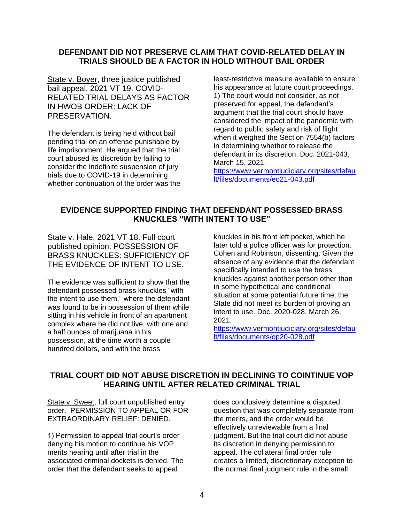#### **DEFENDANT DID NOT PRESERVE CLAIM THAT COVID-RELATED DELAY IN TRIALS SHOULD BE A FACTOR IN HOLD WITHOUT BAIL ORDER**

State v. Boyer, three justice published bail appeal. 2021 VT 19. COVID-RELATED TRIAL DELAYS AS FACTOR IN HWOB ORDER: LACK OF PRESERVATION.

The defendant is being held without bail pending trial on an offense punishable by life imprisonment. He argued that the trial court abused its discretion by failing to consider the indefinite suspension of jury trials due to COVID-19 in determining whether continuation of the order was the least-restrictive measure available to ensure his appearance at future court proceedings. 1) The court would not consider, as not preserved for appeal, the defendant's argument that the trial court should have considered the impact of the pandemic with regard to public safety and risk of flight when it weighed the Section 7554(b) factors in determining whether to release the defendant in its discretion. Doc. 2021-043, March 15, 2021.

[https://www.vermontjudiciary.org/sites/defau](https://www.vermontjudiciary.org/sites/default/files/documents/eo21-043.pdf) [lt/files/documents/eo21-043.pdf](https://www.vermontjudiciary.org/sites/default/files/documents/eo21-043.pdf)

#### **EVIDENCE SUPPORTED FINDING THAT DEFENDANT POSSESSED BRASS KNUCKLES "WITH INTENT TO USE"**

State v. Hale, 2021 VT 18. Full court published opinion. POSSESSION OF BRASS KNUCKLES: SUFFICIENCY OF THE EVIDENCE OF INTENT TO USE.

The evidence was sufficient to show that the defendant possessed brass knuckles "with the intent to use them," where the defendant was found to be in possession of them while sitting in his vehicle in front of an apartment complex where he did not live, with one and a half ounces of marijuana in his possession, at the time worth a couple hundred dollars, and with the brass

knuckles in his front left pocket, which he later told a police officer was for protection. Cohen and Robinson, dissenting. Given the absence of any evidence that the defendant specifically intended to use the brass knuckles against another person other than in some hypothetical and conditional situation at some potential future time, the State did not meet its burden of proving an intent to use. Doc. 2020-028, March 26, 2021.

[https://www.vermontjudiciary.org/sites/defau](https://www.vermontjudiciary.org/sites/default/files/documents/op20-028.pdf) [lt/files/documents/op20-028.pdf](https://www.vermontjudiciary.org/sites/default/files/documents/op20-028.pdf)

#### **TRIAL COURT DID NOT ABUSE DISCRETION IN DECLINING TO COINTINUE VOP HEARING UNTIL AFTER RELATED CRIMINAL TRIAL**

State v. Sweet, full court unpublished entry order. PERMISSION TO APPEAL OR FOR EXTRAORDINARY RELIEF: DENIED.

1) Permission to appeal trial court's order denying his motion to continue his VOP merits hearing until after trial in the associated criminal dockets is denied. The order that the defendant seeks to appeal

does conclusively determine a disputed question that was completely separate from the merits, and the order would be effectively unreviewable from a final judgment. But the trial court did not abuse its discretion in denying permission to appeal. The collateral final order rule creates a limited, discretionary exception to the normal final judgment rule in the small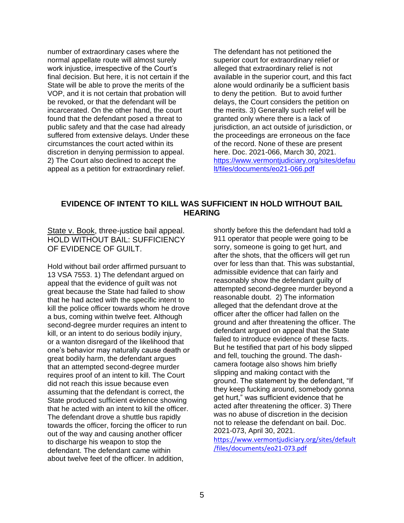number of extraordinary cases where the normal appellate route will almost surely work injustice, irrespective of the Court's final decision. But here, it is not certain if the State will be able to prove the merits of the VOP, and it is not certain that probation will be revoked, or that the defendant will be incarcerated. On the other hand, the court found that the defendant posed a threat to public safety and that the case had already suffered from extensive delays. Under these circumstances the court acted within its discretion in denying permission to appeal. 2) The Court also declined to accept the appeal as a petition for extraordinary relief.

The defendant has not petitioned the superior court for extraordinary relief or alleged that extraordinary relief is not available in the superior court, and this fact alone would ordinarily be a sufficient basis to deny the petition. But to avoid further delays, the Court considers the petition on the merits. 3) Generally such relief will be granted only where there is a lack of jurisdiction, an act outside of jurisdiction, or the proceedings are erroneous on the face of the record. None of these are present here. Doc. 2021-066, March 30, 2021. [https://www.vermontjudiciary.org/sites/defau](https://www.vermontjudiciary.org/sites/default/files/documents/eo21-066.pdf) [lt/files/documents/eo21-066.pdf](https://www.vermontjudiciary.org/sites/default/files/documents/eo21-066.pdf)

#### **EVIDENCE OF INTENT TO KILL WAS SUFFICIENT IN HOLD WITHOUT BAIL HEARING**

State v. Book, three-justice bail appeal. HOLD WITHOUT BAIL: SUFFICIENCY OF EVIDENCE OF GUILT.

Hold without bail order affirmed pursuant to 13 VSA 7553. 1) The defendant argued on appeal that the evidence of guilt was not great because the State had failed to show that he had acted with the specific intent to kill the police officer towards whom he drove a bus, coming within twelve feet. Although second-degree murder requires an intent to kill, or an intent to do serious bodily injury, or a wanton disregard of the likelihood that one's behavior may naturally cause death or great bodily harm, the defendant argues that an attempted second-degree murder requires proof of an intent to kill. The Court did not reach this issue because even assuming that the defendant is correct, the State produced sufficient evidence showing that he acted with an intent to kill the officer. The defendant drove a shuttle bus rapidly towards the officer, forcing the officer to run out of the way and causing another officer to discharge his weapon to stop the defendant. The defendant came within about twelve feet of the officer. In addition,

shortly before this the defendant had told a 911 operator that people were going to be sorry, someone is going to get hurt, and after the shots, that the officers will get run over for less than that. This was substantial, admissible evidence that can fairly and reasonably show the defendant guilty of attempted second-degree murder beyond a reasonable doubt. 2) The information alleged that the defendant drove at the officer after the officer had fallen on the ground and after threatening the officer. The defendant argued on appeal that the State failed to introduce evidence of these facts. But he testified that part of his body slipped and fell, touching the ground. The dashcamera footage also shows him briefly slipping and making contact with the ground. The statement by the defendant, "If they keep fucking around, somebody gonna get hurt," was sufficient evidence that he acted after threatening the officer. 3) There was no abuse of discretion in the decision not to release the defendant on bail. Doc. 2021-073, April 30, 2021.

[https://www.vermontjudiciary.org/sites/default](https://www.vermontjudiciary.org/sites/default/files/documents/eo21-073.pdf) [/files/documents/eo21-073.pdf](https://www.vermontjudiciary.org/sites/default/files/documents/eo21-073.pdf)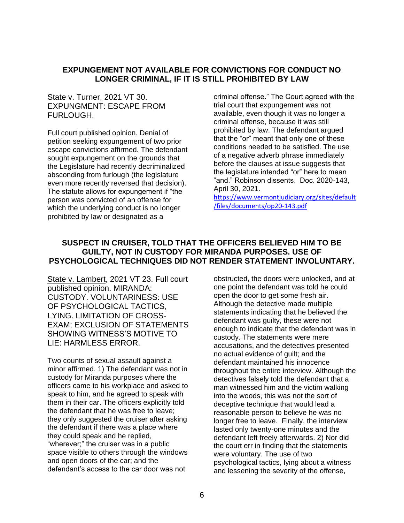#### **EXPUNGEMENT NOT AVAILABLE FOR CONVICTIONS FOR CONDUCT NO LONGER CRIMINAL, IF IT IS STILL PROHIBITED BY LAW**

#### State v. Turner, 2021 VT 30. EXPUNGMENT: ESCAPE FROM FURLOUGH.

Full court published opinion. Denial of petition seeking expungement of two prior escape convictions affirmed. The defendant sought expungement on the grounds that the Legislature had recently decriminalized absconding from furlough (the legislature even more recently reversed that decision). The statute allows for expungement if "the person was convicted of an offense for which the underlying conduct is no longer prohibited by law or designated as a

criminal offense." The Court agreed with the trial court that expungement was not available, even though it was no longer a criminal offense, because it was still prohibited by law. The defendant argued that the "or" meant that only one of these conditions needed to be satisfied. The use of a negative adverb phrase immediately before the clauses at issue suggests that the legislature intended "or" here to mean "and." Robinson dissents. Doc. 2020-143, April 30, 2021.

[https://www.vermontjudiciary.org/sites/default](https://www.vermontjudiciary.org/sites/default/files/documents/op20-143.pdf) [/files/documents/op20-143.pdf](https://www.vermontjudiciary.org/sites/default/files/documents/op20-143.pdf)

#### **SUSPECT IN CRUISER, TOLD THAT THE OFFICERS BELIEVED HIM TO BE GUILTY, NOT IN CUSTODY FOR MIRANDA PURPOSES. USE OF PSYCHOLOGICAL TECHNIQUES DID NOT RENDER STATEMENT INVOLUNTARY.**

State v. Lambert, 2021 VT 23. Full court published opinion. MIRANDA: CUSTODY. VOLUNTARINESS: USE OF PSYCHOLOGICAL TACTICS, LYING. LIMITATION OF CROSS-EXAM; EXCLUSION OF STATEMENTS SHOWING WITNESS'S MOTIVE TO LIE: HARMLESS ERROR.

Two counts of sexual assault against a minor affirmed. 1) The defendant was not in custody for Miranda purposes where the officers came to his workplace and asked to speak to him, and he agreed to speak with them in their car. The officers explicitly told the defendant that he was free to leave; they only suggested the cruiser after asking the defendant if there was a place where they could speak and he replied, "wherever;" the cruiser was in a public space visible to others through the windows and open doors of the car; and the defendant's access to the car door was not

obstructed, the doors were unlocked, and at one point the defendant was told he could open the door to get some fresh air. Although the detective made multiple statements indicating that he believed the defendant was guilty, these were not enough to indicate that the defendant was in custody. The statements were mere accusations, and the detectives presented no actual evidence of guilt; and the defendant maintained his innocence throughout the entire interview. Although the detectives falsely told the defendant that a man witnessed him and the victim walking into the woods, this was not the sort of deceptive technique that would lead a reasonable person to believe he was no longer free to leave. Finally, the interview lasted only twenty-one minutes and the defendant left freely afterwards. 2) Nor did the court err in finding that the statements were voluntary. The use of two psychological tactics, lying about a witness and lessening the severity of the offense,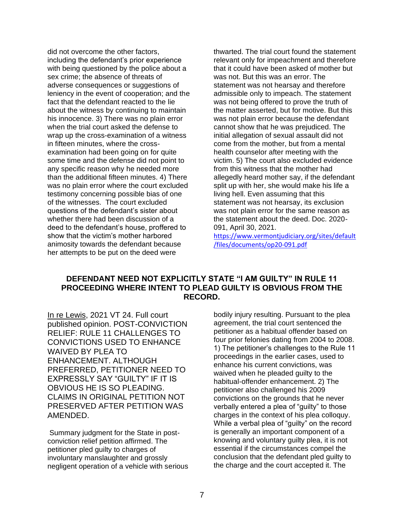did not overcome the other factors, including the defendant's prior experience with being questioned by the police about a sex crime; the absence of threats of adverse consequences or suggestions of leniency in the event of cooperation; and the fact that the defendant reacted to the lie about the witness by continuing to maintain his innocence. 3) There was no plain error when the trial court asked the defense to wrap up the cross-examination of a witness in fifteen minutes, where the crossexamination had been going on for quite some time and the defense did not point to any specific reason why he needed more than the additional fifteen minutes. 4) There was no plain error where the court excluded testimony concerning possible bias of one of the witnesses. The court excluded questions of the defendant's sister about whether there had been discussion of a deed to the defendant's house, proffered to show that the victim's mother harbored animosity towards the defendant because her attempts to be put on the deed were

thwarted. The trial court found the statement relevant only for impeachment and therefore that it could have been asked of mother but was not. But this was an error. The statement was not hearsay and therefore admissible only to impeach. The statement was not being offered to prove the truth of the matter asserted, but for motive. But this was not plain error because the defendant cannot show that he was prejudiced. The initial allegation of sexual assault did not come from the mother, but from a mental health counselor after meeting with the victim. 5) The court also excluded evidence from this witness that the mother had allegedly heard mother say, if the defendant split up with her, she would make his life a living hell. Even assuming that this statement was not hearsay, its exclusion was not plain error for the same reason as the statement about the deed. Doc. 2020- 091, April 30, 2021.

[https://www.vermontjudiciary.org/sites/default](https://www.vermontjudiciary.org/sites/default/files/documents/op20-091.pdf) [/files/documents/op20-091.pdf](https://www.vermontjudiciary.org/sites/default/files/documents/op20-091.pdf)

#### **DEFENDANT NEED NOT EXPLICITLY STATE "I AM GUILTY" IN RULE 11 PROCEEDING WHERE INTENT TO PLEAD GUILTY IS OBVIOUS FROM THE RECORD.**

In re Lewis, 2021 VT 24. Full court published opinion. POST-CONVICTION RELIEF: RULE 11 CHALLENGES TO CONVICTIONS USED TO ENHANCE WAIVED BY PLEA TO ENHANCEMENT. ALTHOUGH PREFERRED, PETITIONER NEED TO EXPRESSLY SAY "GUILTY" IF IT IS OBVIOUS HE IS SO PLEADING. CLAIMS IN ORIGINAL PETITION NOT PRESERVED AFTER PETITION WAS AMENDED.

Summary judgment for the State in postconviction relief petition affirmed. The petitioner pled guilty to charges of involuntary manslaughter and grossly negligent operation of a vehicle with serious bodily injury resulting. Pursuant to the plea agreement, the trial court sentenced the petitioner as a habitual offender based on four prior felonies dating from 2004 to 2008. 1) The petitioner's challenges to the Rule 11 proceedings in the earlier cases, used to enhance his current convictions, was waived when he pleaded guilty to the habitual-offender enhancement. 2) The petitioner also challenged his 2009 convictions on the grounds that he never verbally entered a plea of "guilty" to those charges in the context of his plea colloquy. While a verbal plea of "guilty" on the record is generally an important component of a knowing and voluntary guilty plea, it is not essential if the circumstances compel the conclusion that the defendant pled guilty to the charge and the court accepted it. The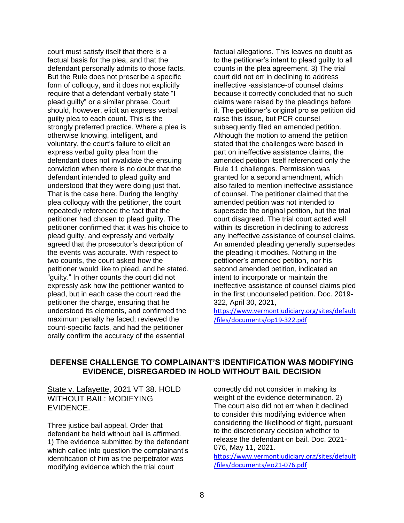court must satisfy itself that there is a factual basis for the plea, and that the defendant personally admits to those facts. But the Rule does not prescribe a specific form of colloquy, and it does not explicitly require that a defendant verbally state "I plead guilty" or a similar phrase. Court should, however, elicit an express verbal guilty plea to each count. This is the strongly preferred practice. Where a plea is otherwise knowing, intelligent, and voluntary, the court's failure to elicit an express verbal guilty plea from the defendant does not invalidate the ensuing conviction when there is no doubt that the defendant intended to plead guilty and understood that they were doing just that. That is the case here. During the lengthy plea colloquy with the petitioner, the court repeatedly referenced the fact that the petitioner had chosen to plead guilty. The petitioner confirmed that it was his choice to plead guilty, and expressly and verbally agreed that the prosecutor's description of the events was accurate. With respect to two counts, the court asked how the petitioner would like to plead, and he stated, "guilty." In other counts the court did not expressly ask how the petitioner wanted to plead, but in each case the court read the petitioner the charge, ensuring that he understood its elements, and confirmed the maximum penalty he faced; reviewed the count-specific facts, and had the petitioner orally confirm the accuracy of the essential

factual allegations. This leaves no doubt as to the petitioner's intent to plead guilty to all counts in the plea agreement. 3) The trial court did not err in declining to address ineffective -assistance-of counsel claims because it correctly concluded that no such claims were raised by the pleadings before it. The petitioner's original pro se petition did raise this issue, but PCR counsel subsequently filed an amended petition. Although the motion to amend the petition stated that the challenges were based in part on ineffective assistance claims, the amended petition itself referenced only the Rule 11 challenges. Permission was granted for a second amendment, which also failed to mention ineffective assistance of counsel. The petitioner claimed that the amended petition was not intended to supersede the original petition, but the trial court disagreed. The trial court acted well within its discretion in declining to address any ineffective assistance of counsel claims. An amended pleading generally supersedes the pleading it modifies. Nothing in the petitioner's amended petition, nor his second amended petition, indicated an intent to incorporate or maintain the ineffective assistance of counsel claims pled in the first uncounseled petition. Doc. 2019- 322, April 30, 2021,

[https://www.vermontjudiciary.org/sites/default](https://www.vermontjudiciary.org/sites/default/files/documents/op19-322.pdf) [/files/documents/op19-322.pdf](https://www.vermontjudiciary.org/sites/default/files/documents/op19-322.pdf)

#### **DEFENSE CHALLENGE TO COMPLAINANT'S IDENTIFICATION WAS MODIFYING EVIDENCE, DISREGARDED IN HOLD WITHOUT BAIL DECISION**

State v. Lafayette, 2021 VT 38. HOLD WITHOUT BAIL: MODIFYING EVIDENCE.

Three justice bail appeal. Order that defendant be held without bail is affirmed. 1) The evidence submitted by the defendant which called into question the complainant's identification of him as the perpetrator was modifying evidence which the trial court

correctly did not consider in making its weight of the evidence determination. 2) The court also did not err when it declined to consider this modifying evidence when considering the likelihood of flight, pursuant to the discretionary decision whether to release the defendant on bail. Doc. 2021- 076, May 11, 2021.

[https://www.vermontjudiciary.org/sites/default](https://www.vermontjudiciary.org/sites/default/files/documents/eo21-076.pdf) [/files/documents/eo21-076.pdf](https://www.vermontjudiciary.org/sites/default/files/documents/eo21-076.pdf)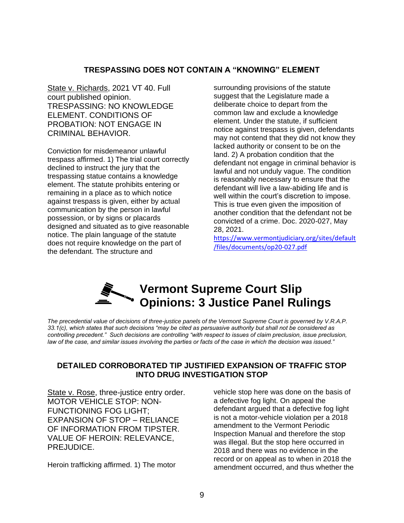#### **TRESPASSING DOES NOT CONTAIN A "KNOWING" ELEMENT**

State v. Richards, 2021 VT 40. Full court published opinion. TRESPASSING: NO KNOWLEDGE ELEMENT. CONDITIONS OF PROBATION: NOT ENGAGE IN CRIMINAL BEHAVIOR.

Conviction for misdemeanor unlawful trespass affirmed. 1) The trial court correctly declined to instruct the jury that the trespassing statue contains a knowledge element. The statute prohibits entering or remaining in a place as to which notice against trespass is given, either by actual communication by the person in lawful possession, or by signs or placards designed and situated as to give reasonable notice. The plain language of the statute does not require knowledge on the part of the defendant. The structure and

surrounding provisions of the statute suggest that the Legislature made a deliberate choice to depart from the common law and exclude a knowledge element. Under the statute, if sufficient notice against trespass is given, defendants may not contend that they did not know they lacked authority or consent to be on the land. 2) A probation condition that the defendant not engage in criminal behavior is lawful and not unduly vague. The condition is reasonably necessary to ensure that the defendant will live a law-abiding life and is well within the court's discretion to impose. This is true even given the imposition of another condition that the defendant not be convicted of a crime. Doc. 2020-027, May 28, 2021.

[https://www.vermontjudiciary.org/sites/default](https://www.vermontjudiciary.org/sites/default/files/documents/op20-027.pdf) [/files/documents/op20-027.pdf](https://www.vermontjudiciary.org/sites/default/files/documents/op20-027.pdf)

### **Vermont Supreme Court Slip Opinions: 3 Justice Panel Rulings**

*The precedential value of decisions of three-justice panels of the Vermont Supreme Court is governed by V.R.A.P. 33.1(c), which states that such decisions "may be cited as persuasive authority but shall not be considered as controlling precedent." Such decisions are controlling "with respect to issues of claim preclusion, issue preclusion, law of the case, and similar issues involving the parties or facts of the case in which the decision was issued."* 

#### **DETAILED CORROBORATED TIP JUSTIFIED EXPANSION OF TRAFFIC STOP INTO DRUG INVESTIGATION STOP**

State v. Rose, three-justice entry order. MOTOR VEHICLE STOP: NON-FUNCTIONING FOG LIGHT; EXPANSION OF STOP – RELIANCE OF INFORMATION FROM TIPSTER. VALUE OF HEROIN: RELEVANCE, PREJUDICE.

Heroin trafficking affirmed. 1) The motor

vehicle stop here was done on the basis of a defective fog light. On appeal the defendant argued that a defective fog light is not a motor-vehicle violation per a 2018 amendment to the Vermont Periodic Inspection Manual and therefore the stop was illegal. But the stop here occurred in 2018 and there was no evidence in the record or on appeal as to when in 2018 the amendment occurred, and thus whether the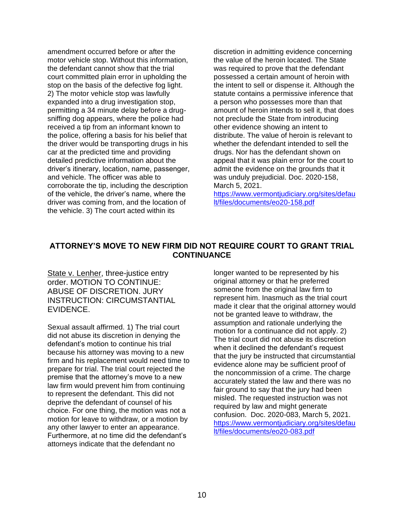amendment occurred before or after the motor vehicle stop. Without this information, the defendant cannot show that the trial court committed plain error in upholding the stop on the basis of the defective fog light. 2) The motor vehicle stop was lawfully expanded into a drug investigation stop, permitting a 34 minute delay before a drugsniffing dog appears, where the police had received a tip from an informant known to the police, offering a basis for his belief that the driver would be transporting drugs in his car at the predicted time and providing detailed predictive information about the driver's itinerary, location, name, passenger, and vehicle. The officer was able to corroborate the tip, including the description of the vehicle, the driver's name, where the driver was coming from, and the location of the vehicle. 3) The court acted within its

discretion in admitting evidence concerning the value of the heroin located. The State was required to prove that the defendant possessed a certain amount of heroin with the intent to sell or dispense it. Although the statute contains a permissive inference that a person who possesses more than that amount of heroin intends to sell it, that does not preclude the State from introducing other evidence showing an intent to distribute. The value of heroin is relevant to whether the defendant intended to sell the drugs. Nor has the defendant shown on appeal that it was plain error for the court to admit the evidence on the grounds that it was unduly prejudicial. Doc. 2020-158, March 5, 2021.

[https://www.vermontjudiciary.org/sites/defau](https://www.vermontjudiciary.org/sites/default/files/documents/eo20-158.pdf) [lt/files/documents/eo20-158.pdf](https://www.vermontjudiciary.org/sites/default/files/documents/eo20-158.pdf)

#### **ATTORNEY'S MOVE TO NEW FIRM DID NOT REQUIRE COURT TO GRANT TRIAL CONTINUANCE**

State v. Lenher, three-justice entry order. MOTION TO CONTINUE: ABUSE OF DISCRETION. JURY INSTRUCTION: CIRCUMSTANTIAL EVIDENCE.

Sexual assault affirmed. 1) The trial court did not abuse its discretion in denying the defendant's motion to continue his trial because his attorney was moving to a new firm and his replacement would need time to prepare for trial. The trial court rejected the premise that the attorney's move to a new law firm would prevent him from continuing to represent the defendant. This did not deprive the defendant of counsel of his choice. For one thing, the motion was not a motion for leave to withdraw, or a motion by any other lawyer to enter an appearance. Furthermore, at no time did the defendant's attorneys indicate that the defendant no

longer wanted to be represented by his original attorney or that he preferred someone from the original law firm to represent him. Inasmuch as the trial court made it clear that the original attorney would not be granted leave to withdraw, the assumption and rationale underlying the motion for a continuance did not apply. 2) The trial court did not abuse its discretion when it declined the defendant's request that the jury be instructed that circumstantial evidence alone may be sufficient proof of the noncommission of a crime. The charge accurately stated the law and there was no fair ground to say that the jury had been misled. The requested instruction was not required by law and might generate confusion. Doc. 2020-083, March 5, 2021. [https://www.vermontjudiciary.org/sites/defau](https://www.vermontjudiciary.org/sites/default/files/documents/eo20-083.pdf) [lt/files/documents/eo20-083.pdf](https://www.vermontjudiciary.org/sites/default/files/documents/eo20-083.pdf)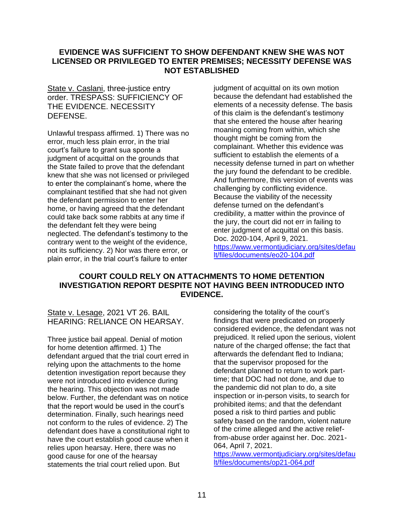#### **EVIDENCE WAS SUFFICIENT TO SHOW DEFENDANT KNEW SHE WAS NOT LICENSED OR PRIVILEGED TO ENTER PREMISES; NECESSITY DEFENSE WAS NOT ESTABLISHED**

State v. Caslani, three-justice entry order. TRESPASS: SUFFICIENCY OF THE EVIDENCE. NECESSITY DEFENSE.

Unlawful trespass affirmed. 1) There was no error, much less plain error, in the trial court's failure to grant sua sponte a judgment of acquittal on the grounds that the State failed to prove that the defendant knew that she was not licensed or privileged to enter the complainant's home, where the complainant testified that she had not given the defendant permission to enter her home, or having agreed that the defendant could take back some rabbits at any time if the defendant felt they were being neglected. The defendant's testimony to the contrary went to the weight of the evidence, not its sufficiency. 2) Nor was there error, or plain error, in the trial court's failure to enter

judgment of acquittal on its own motion because the defendant had established the elements of a necessity defense. The basis of this claim is the defendant's testimony that she entered the house after hearing moaning coming from within, which she thought might be coming from the complainant. Whether this evidence was sufficient to establish the elements of a necessity defense turned in part on whether the jury found the defendant to be credible. And furthermore, this version of events was challenging by conflicting evidence. Because the viability of the necessity defense turned on the defendant's credibility, a matter within the province of the jury, the court did not err in failing to enter judgment of acquittal on this basis. Doc. 2020-104, April 9, 2021. [https://www.vermontjudiciary.org/sites/defau](https://www.vermontjudiciary.org/sites/default/files/documents/eo20-104.pdf) [lt/files/documents/eo20-104.pdf](https://www.vermontjudiciary.org/sites/default/files/documents/eo20-104.pdf)

#### **COURT COULD RELY ON ATTACHMENTS TO HOME DETENTION INVESTIGATION REPORT DESPITE NOT HAVING BEEN INTRODUCED INTO EVIDENCE.**

State v. Lesage, 2021 VT 26. BAIL HEARING: RELIANCE ON HEARSAY.

Three justice bail appeal. Denial of motion for home detention affirmed. 1) The defendant argued that the trial court erred in relying upon the attachments to the home detention investigation report because they were not introduced into evidence during the hearing. This objection was not made below. Further, the defendant was on notice that the report would be used in the court's determination. Finally, such hearings need not conform to the rules of evidence. 2) The defendant does have a constitutional right to have the court establish good cause when it relies upon hearsay. Here, there was no good cause for one of the hearsay statements the trial court relied upon. But

considering the totality of the court's findings that were predicated on properly considered evidence, the defendant was not prejudiced. It relied upon the serious, violent nature of the charged offense; the fact that afterwards the defendant fled to Indiana; that the supervisor proposed for the defendant planned to return to work parttime; that DOC had not done, and due to the pandemic did not plan to do, a site inspection or in-person visits, to search for prohibited items; and that the defendant posed a risk to third parties and public safety based on the random, violent nature of the crime alleged and the active relieffrom-abuse order against her. Doc. 2021- 064, April 7, 2021.

[https://www.vermontjudiciary.org/sites/defau](https://www.vermontjudiciary.org/sites/default/files/documents/op21-064.pdf) [lt/files/documents/op21-064.pdf](https://www.vermontjudiciary.org/sites/default/files/documents/op21-064.pdf)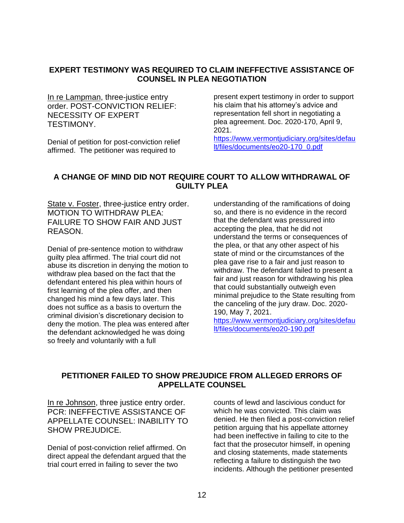#### **EXPERT TESTIMONY WAS REQUIRED TO CLAIM INEFFECTIVE ASSISTANCE OF COUNSEL IN PLEA NEGOTIATION**

In re Lampman, three-justice entry order. POST-CONVICTION RELIEF: NECESSITY OF EXPERT TESTIMONY.

Denial of petition for post-conviction relief affirmed. The petitioner was required to

present expert testimony in order to support his claim that his attorney's advice and representation fell short in negotiating a plea agreement. Doc. 2020-170, April 9, 2021.

[https://www.vermontjudiciary.org/sites/defau](https://www.vermontjudiciary.org/sites/default/files/documents/eo20-170_0.pdf) [lt/files/documents/eo20-170\\_0.pdf](https://www.vermontjudiciary.org/sites/default/files/documents/eo20-170_0.pdf)

#### **A CHANGE OF MIND DID NOT REQUIRE COURT TO ALLOW WITHDRAWAL OF GUILTY PLEA**

State v. Foster, three-justice entry order. MOTION TO WITHDRAW PLEA: FAILURE TO SHOW FAIR AND JUST REASON.

Denial of pre-sentence motion to withdraw guilty plea affirmed. The trial court did not abuse its discretion in denying the motion to withdraw plea based on the fact that the defendant entered his plea within hours of first learning of the plea offer, and then changed his mind a few days later. This does not suffice as a basis to overturn the criminal division's discretionary decision to deny the motion. The plea was entered after the defendant acknowledged he was doing so freely and voluntarily with a full

understanding of the ramifications of doing so, and there is no evidence in the record that the defendant was pressured into accepting the plea, that he did not understand the terms or consequences of the plea, or that any other aspect of his state of mind or the circumstances of the plea gave rise to a fair and just reason to withdraw. The defendant failed to present a fair and just reason for withdrawing his plea that could substantially outweigh even minimal prejudice to the State resulting from the canceling of the jury draw. Doc. 2020- 190, May 7, 2021.

[https://www.vermontjudiciary.org/sites/defau](https://www.vermontjudiciary.org/sites/default/files/documents/eo20-190.pdf) [lt/files/documents/eo20-190.pdf](https://www.vermontjudiciary.org/sites/default/files/documents/eo20-190.pdf)

#### **PETITIONER FAILED TO SHOW PREJUDICE FROM ALLEGED ERRORS OF APPELLATE COUNSEL**

In re Johnson, three justice entry order. PCR: INEFFECTIVE ASSISTANCE OF APPELLATE COUNSEL: INABILITY TO SHOW PREJUDICE.

Denial of post-conviction relief affirmed. On direct appeal the defendant argued that the trial court erred in failing to sever the two

counts of lewd and lascivious conduct for which he was convicted. This claim was denied. He then filed a post-conviction relief petition arguing that his appellate attorney had been ineffective in failing to cite to the fact that the prosecutor himself, in opening and closing statements, made statements reflecting a failure to distinguish the two incidents. Although the petitioner presented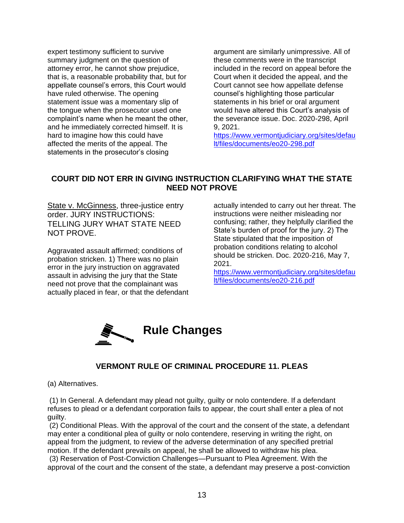expert testimony sufficient to survive summary judgment on the question of attorney error, he cannot show prejudice, that is, a reasonable probability that, but for appellate counsel's errors, this Court would have ruled otherwise. The opening statement issue was a momentary slip of the tongue when the prosecutor used one complaint's name when he meant the other, and he immediately corrected himself. It is hard to imagine how this could have affected the merits of the appeal. The statements in the prosecutor's closing

argument are similarly unimpressive. All of these comments were in the transcript included in the record on appeal before the Court when it decided the appeal, and the Court cannot see how appellate defense counsel's highlighting those particular statements in his brief or oral argument would have altered this Court's analysis of the severance issue. Doc. 2020-298, April 9, 2021.

[https://www.vermontjudiciary.org/sites/defau](https://www.vermontjudiciary.org/sites/default/files/documents/eo20-298.pdf) [lt/files/documents/eo20-298.pdf](https://www.vermontjudiciary.org/sites/default/files/documents/eo20-298.pdf)

#### **COURT DID NOT ERR IN GIVING INSTRUCTION CLARIFYING WHAT THE STATE NEED NOT PROVE**

State v. McGinness, three-justice entry order. JURY INSTRUCTIONS: TELLING JURY WHAT STATE NEED NOT PROVE.

Aggravated assault affirmed; conditions of probation stricken. 1) There was no plain error in the jury instruction on aggravated assault in advising the jury that the State need not prove that the complainant was actually placed in fear, or that the defendant actually intended to carry out her threat. The instructions were neither misleading nor confusing; rather, they helpfully clarified the State's burden of proof for the jury. 2) The State stipulated that the imposition of probation conditions relating to alcohol should be stricken. Doc. 2020-216, May 7, 2021.

[https://www.vermontjudiciary.org/sites/defau](https://www.vermontjudiciary.org/sites/default/files/documents/eo20-216.pdf) [lt/files/documents/eo20-216.pdf](https://www.vermontjudiciary.org/sites/default/files/documents/eo20-216.pdf)



#### **VERMONT RULE OF CRIMINAL PROCEDURE 11. PLEAS**

(a) Alternatives.

(1) In General. A defendant may plead not guilty, guilty or nolo contendere. If a defendant refuses to plead or a defendant corporation fails to appear, the court shall enter a plea of not guilty.

(2) Conditional Pleas. With the approval of the court and the consent of the state, a defendant may enter a conditional plea of guilty or nolo contendere, reserving in writing the right, on appeal from the judgment, to review of the adverse determination of any specified pretrial motion. If the defendant prevails on appeal, he shall be allowed to withdraw his plea.

(3) Reservation of Post-Conviction Challenges—Pursuant to Plea Agreement. With the approval of the court and the consent of the state, a defendant may preserve a post-conviction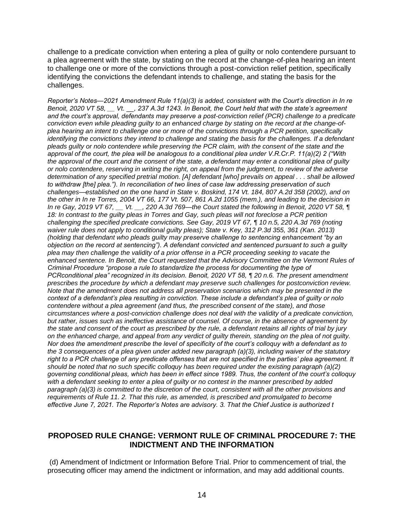challenge to a predicate conviction when entering a plea of guilty or nolo contendere pursuant to a plea agreement with the state, by stating on the record at the change-of-plea hearing an intent to challenge one or more of the convictions through a post-conviction relief petition, specifically identifying the convictions the defendant intends to challenge, and stating the basis for the challenges.

*Reporter's Notes—2021 Amendment Rule 11(a)(3) is added, consistent with the Court's direction in In re Benoit, 2020 VT 58, \_\_ Vt. \_\_, 237 A.3d 1243. In Benoit, the Court held that with the state's agreement and the court's approval, defendants may preserve a post-conviction relief (PCR) challenge to a predicate conviction even while pleading guilty to an enhanced charge by stating on the record at the change-ofplea hearing an intent to challenge one or more of the convictions through a PCR petition, specifically identifying the convictions they intend to challenge and stating the basis for the challenges. If a defendant pleads guilty or nolo contendere while preserving the PCR claim, with the consent of the state and the approval of the court, the plea will be analogous to a conditional plea under V.R.Cr.P. 11(a)(2) 2 ("With the approval of the court and the consent of the state, a defendant may enter a conditional plea of guilty or nolo contendere, reserving in writing the right, on appeal from the judgment, to review of the adverse determination of any specified pretrial motion. [A] defendant [who] prevails on appeal . . . shall be allowed to withdraw [the] plea."). In reconciliation of two lines of case law addressing preservation of such challenges—established on the one hand in State v. Boskind, 174 Vt. 184, 807 A.2d 358 (2002), and on the other in In re Torres, 2004 VT 66, 177 Vt. 507, 861 A.2d 1055 (mem.), and leading to the decision in In re Gay, 2019 VT 67, \_\_ Vt. \_\_, 220 A.3d 769—the Court stated the following in Benoit, 2020 VT 58, ¶*  18: In contrast to the guilty pleas in Torres and Gay, such pleas will not foreclose a PCR petition *challenging the specified predicate convictions. See Gay, 2019 VT 67, ¶ 10 n.5, 220 A.3d 769 (noting waiver rule does not apply to conditional guilty pleas); State v. Key, 312 P.3d 355, 361 (Kan. 2013) (holding that defendant who pleads guilty may preserve challenge to sentencing enhancement "by an objection on the record at sentencing"). A defendant convicted and sentenced pursuant to such a guilty plea may then challenge the validity of a prior offense in a PCR proceeding seeking to vacate the enhanced sentence. In Benoit, the Court requested that the Advisory Committee on the Vermont Rules of Criminal Procedure "propose a rule to standardize the process for documenting the type of PCRconditional plea" recognized in its decision. Benoit, 2020 VT 58, ¶ 20 n.6. The present amendment prescribes the procedure by which a defendant may preserve such challenges for postconviction review. Note that the amendment does not address all preservation scenarios which may be presented in the context of a defendant's plea resulting in conviction. These include a defendant's plea of guilty or nolo contendere without a plea agreement (and thus, the prescribed consent of the state), and those circumstances where a post-conviction challenge does not deal with the validity of a predicate conviction, but rather, issues such as ineffective assistance of counsel. Of course, in the absence of agreement by the state and consent of the court as prescribed by the rule, a defendant retains all rights of trial by jury on the enhanced charge, and appeal from any verdict of guilty therein, standing on the plea of not guilty. Nor does the amendment prescribe the level of specificity of the court's colloquy with a defendant as to the 3 consequences of a plea given under added new paragraph (a)(3), including waiver of the statutory right to a PCR challenge of any predicate offenses that are not specified in the parties' plea agreement. It should be noted that no such specific colloquy has been required under the existing paragraph (a)(2) governing conditional pleas, which has been in effect since 1989. Thus, the content of the court's colloquy with a defendant seeking to enter a plea of guilty or no contest in the manner prescribed by added paragraph (a)(3) is committed to the discretion of the court, consistent with all the other provisions and requirements of Rule 11. 2. That this rule, as amended, is prescribed and promulgated to become effective June 7, 2021. The Reporter's Notes are advisory. 3. That the Chief Justice is authorized t*

#### **PROPOSED RULE CHANGE: VERMONT RULE OF CRIMINAL PROCEDURE 7: THE INDICTMENT AND THE INFORMATION**

(d) Amendment of Indictment or Information Before Trial. Prior to commencement of trial, the prosecuting officer may amend the indictment or information, and may add additional counts.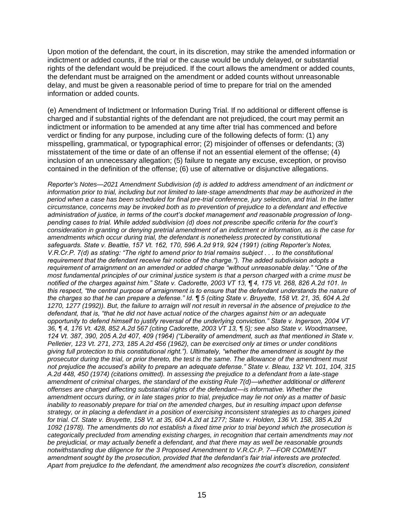Upon motion of the defendant, the court, in its discretion, may strike the amended information or indictment or added counts, if the trial or the cause would be unduly delayed, or substantial rights of the defendant would be prejudiced. If the court allows the amendment or added counts, the defendant must be arraigned on the amendment or added counts without unreasonable delay, and must be given a reasonable period of time to prepare for trial on the amended information or added counts.

(e) Amendment of Indictment or Information During Trial. If no additional or different offense is charged and if substantial rights of the defendant are not prejudiced, the court may permit an indictment or information to be amended at any time after trial has commenced and before verdict or finding for any purpose, including cure of the following defects of form: (1) any misspelling, grammatical, or typographical error; (2) misjoinder of offenses or defendants; (3) misstatement of the time or date of an offense if not an essential element of the offense; (4) inclusion of an unnecessary allegation; (5) failure to negate any excuse, exception, or proviso contained in the definition of the offense; (6) use of alternative or disjunctive allegations.

*Reporter's Notes—2021 Amendment Subdivision (d) is added to address amendment of an indictment or information prior to trial, including but not limited to late-stage amendments that may be authorized in the period when a case has been scheduled for final pre-trial conference, jury selection, and trial. In the latter circumstance, concerns may be invoked both as to prevention of prejudice to a defendant and effective administration of justice, in terms of the court's docket management and reasonable progression of longpending cases to trial. While added subdivision (d) does not prescribe specific criteria for the court's consideration in granting or denying pretrial amendment of an indictment or information, as is the case for amendments which occur during trial, the defendant is nonetheless protected by constitutional safeguards. State v. Beattie, 157 Vt. 162, 170, 596 A.2d 919, 924 (1991) (citing Reporter's Notes, V.R.Cr.P. 7(d) as stating: "The right to amend prior to trial remains subject . . . to the constitutional requirement that the defendant receive fair notice of the charge."). The added subdivision adopts a requirement of arraignment on an amended or added charge "without unreasonable delay." "One of the most fundamental principles of our criminal justice system is that a person charged with a crime must be notified of the charges against him." State v. Cadorette, 2003 VT 13, ¶ 4, 175 Vt. 268, 826 A.2d 101. In this respect, "the central purpose of arraignment is to ensure that the defendant understands the nature of the charges so that he can prepare a defense." Id. ¶ 5 (citing State v. Bruyette, 158 Vt. 21, 35, 604 A.2d 1270, 1277 (1992)). But, the failure to arraign will not result in reversal in the absence of prejudice to the defendant, that is, "that he did not have actual notice of the charges against him or an adequate opportunity to defend himself to justify reversal of the underlying conviction." State v. Ingerson, 2004 VT 36, ¶ 4, 176 Vt. 428, 852 A.2d 567 (citing Cadorette, 2003 VT 13, ¶ 5); see also State v. Woodmansee, 124 Vt. 387, 390, 205 A.2d 407, 409 (1964) ("Liberality of amendment, such as that mentioned in State v. Pelletier, 123 Vt. 271, 273, 185 A.2d 456 (1962), can be exercised only at times or under conditions giving full protection to this constitutional right."). Ultimately, "whether the amendment is sought by the prosecutor during the trial, or prior thereto, the test is the same. The allowance of the amendment must not prejudice the accused's ability to prepare an adequate defense." State v. Bleau, 132 Vt. 101, 104, 315 A.2d 448, 450 (1974) (citations omitted). In assessing the prejudice to a defendant from a late-stage amendment of criminal charges, the standard of the existing Rule 7(d)—whether additional or different offenses are charged affecting substantial rights of the defendant—is informative. Whether the amendment occurs during, or in late stages prior to trial, prejudice may lie not only as a matter of basic inability to reasonably prepare for trial on the amended charges, but in resulting impact upon defense strategy, or in placing a defendant in a position of exercising inconsistent strategies as to charges joined for trial. Cf. State v. Bruyette, 158 Vt. at 35, 604 A.2d at 1277; State v. Holden, 136 Vt. 158, 385 A.2d 1092 (1978). The amendments do not establish a fixed time prior to trial beyond which the prosecution is categorically precluded from amending existing charges, in recognition that certain amendments may not be prejudicial, or may actually benefit a defendant, and that there may as well be reasonable grounds notwithstanding due diligence for the 3 Proposed Amendment to V.R.Cr.P. 7—FOR COMMENT amendment sought by the prosecution, provided that the defendant's fair trial interests are protected. Apart from prejudice to the defendant, the amendment also recognizes the court's discretion, consistent*